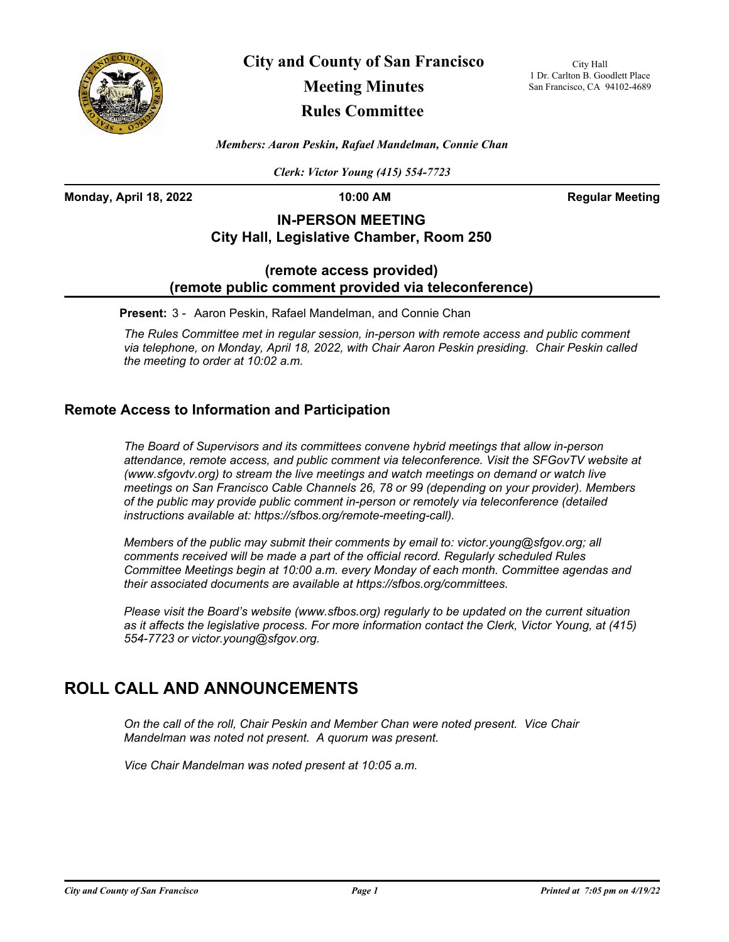

**City and County of San Francisco**

# **Meeting Minutes**

## **Rules Committee**

City Hall 1 Dr. Carlton B. Goodlett Place San Francisco, CA 94102-4689

*Members: Aaron Peskin, Rafael Mandelman, Connie Chan*

*Clerk: Victor Young (415) 554-7723*

**Monday, April 18, 2022 10:00 AM Regular Meeting**

## **IN-PERSON MEETING City Hall, Legislative Chamber, Room 250**

### **(remote access provided) (remote public comment provided via teleconference)**

**Present:** 3 - Aaron Peskin, Rafael Mandelman, and Connie Chan

*The Rules Committee met in regular session, in-person with remote access and public comment via telephone, on Monday, April 18, 2022, with Chair Aaron Peskin presiding. Chair Peskin called the meeting to order at 10:02 a.m.*

### **Remote Access to Information and Participation**

*The Board of Supervisors and its committees convene hybrid meetings that allow in-person attendance, remote access, and public comment via teleconference. Visit the SFGovTV website at (www.sfgovtv.org) to stream the live meetings and watch meetings on demand or watch live meetings on San Francisco Cable Channels 26, 78 or 99 (depending on your provider). Members of the public may provide public comment in-person or remotely via teleconference (detailed instructions available at: https://sfbos.org/remote-meeting-call).* 

*Members of the public may submit their comments by email to: victor.young@sfgov.org; all comments received will be made a part of the official record. Regularly scheduled Rules Committee Meetings begin at 10:00 a.m. every Monday of each month. Committee agendas and their associated documents are available at https://sfbos.org/committees.*

*Please visit the Board's website (www.sfbos.org) regularly to be updated on the current situation as it affects the legislative process. For more information contact the Clerk, Victor Young, at (415) 554-7723 or victor.young@sfgov.org.*

## **ROLL CALL AND ANNOUNCEMENTS**

*On the call of the roll, Chair Peskin and Member Chan were noted present. Vice Chair Mandelman was noted not present. A quorum was present.*

*Vice Chair Mandelman was noted present at 10:05 a.m.*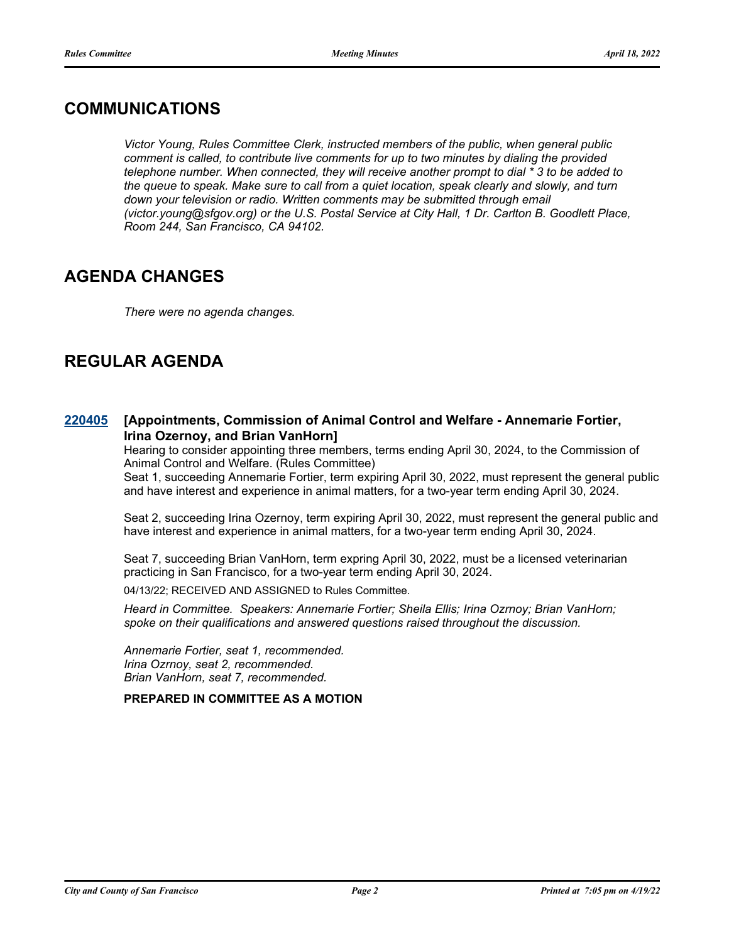## **COMMUNICATIONS**

*Victor Young, Rules Committee Clerk, instructed members of the public, when general public comment is called, to contribute live comments for up to two minutes by dialing the provided telephone number. When connected, they will receive another prompt to dial \* 3 to be added to the queue to speak. Make sure to call from a quiet location, speak clearly and slowly, and turn*  down your television or radio. Written comments may be submitted through email *(victor.young@sfgov.org) or the U.S. Postal Service at City Hall, 1 Dr. Carlton B. Goodlett Place, Room 244, San Francisco, CA 94102.*

## **AGENDA CHANGES**

*There were no agenda changes.*

## **REGULAR AGENDA**

#### **[Appointments, Commission of Animal Control and Welfare - Annemarie Fortier, Irina Ozernoy, and Brian VanHorn] [220405](http://sfgov.legistar.com/gateway.aspx?m=l&id=38597)**

Hearing to consider appointing three members, terms ending April 30, 2024, to the Commission of Animal Control and Welfare. (Rules Committee)

Seat 1, succeeding Annemarie Fortier, term expiring April 30, 2022, must represent the general public and have interest and experience in animal matters, for a two-year term ending April 30, 2024.

Seat 2, succeeding Irina Ozernoy, term expiring April 30, 2022, must represent the general public and have interest and experience in animal matters, for a two-year term ending April 30, 2024.

Seat 7, succeeding Brian VanHorn, term expring April 30, 2022, must be a licensed veterinarian practicing in San Francisco, for a two-year term ending April 30, 2024.

04/13/22; RECEIVED AND ASSIGNED to Rules Committee.

*Heard in Committee. Speakers: Annemarie Fortier; Sheila Ellis; Irina Ozrnoy; Brian VanHorn; spoke on their qualifications and answered questions raised throughout the discussion.*

*Annemarie Fortier, seat 1, recommended. Irina Ozrnoy, seat 2, recommended. Brian VanHorn, seat 7, recommended.*

**PREPARED IN COMMITTEE AS A MOTION**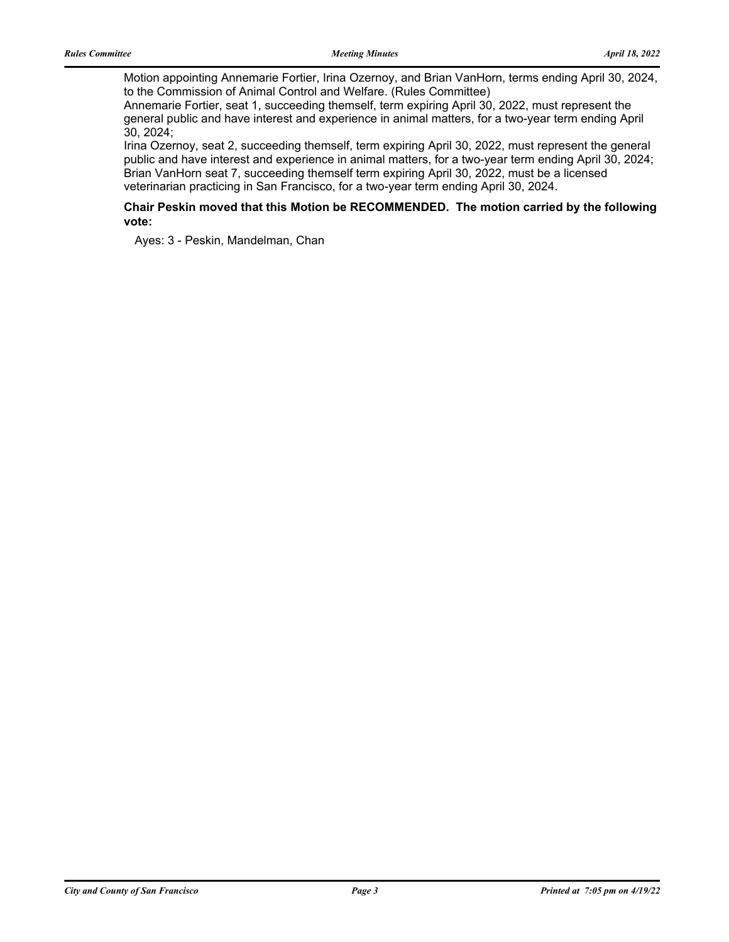Motion appointing Annemarie Fortier, Irina Ozernoy, and Brian VanHorn, terms ending April 30, 2024, to the Commission of Animal Control and Welfare. (Rules Committee)

Annemarie Fortier, seat 1, succeeding themself, term expiring April 30, 2022, must represent the general public and have interest and experience in animal matters, for a two-year term ending April 30, 2024;

Irina Ozernoy, seat 2, succeeding themself, term expiring April 30, 2022, must represent the general public and have interest and experience in animal matters, for a two-year term ending April 30, 2024; Brian VanHorn seat 7, succeeding themself term expiring April 30, 2022, must be a licensed veterinarian practicing in San Francisco, for a two-year term ending April 30, 2024.

### **Chair Peskin moved that this Motion be RECOMMENDED. The motion carried by the following vote:**

Ayes: 3 - Peskin, Mandelman, Chan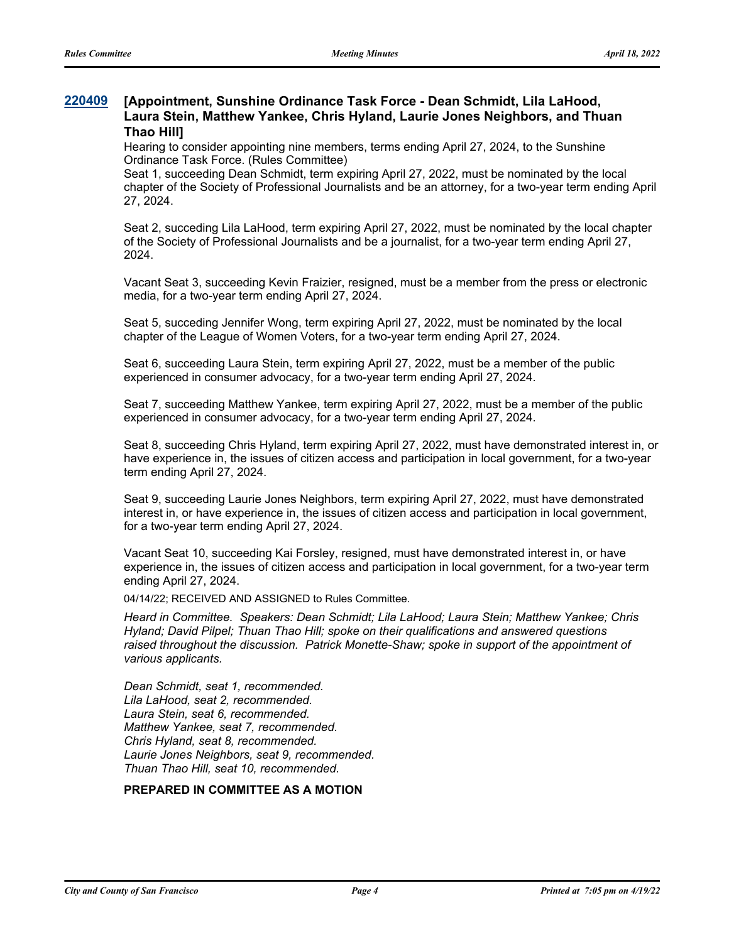#### **[Appointment, Sunshine Ordinance Task Force - Dean Schmidt, Lila LaHood, Laura Stein, Matthew Yankee, Chris Hyland, Laurie Jones Neighbors, and Thuan Thao Hill] [220409](http://sfgov.legistar.com/gateway.aspx?m=l&id=38601)**

Hearing to consider appointing nine members, terms ending April 27, 2024, to the Sunshine Ordinance Task Force. (Rules Committee)

Seat 1, succeeding Dean Schmidt, term expiring April 27, 2022, must be nominated by the local chapter of the Society of Professional Journalists and be an attorney, for a two-year term ending April 27, 2024.

Seat 2, succeding Lila LaHood, term expiring April 27, 2022, must be nominated by the local chapter of the Society of Professional Journalists and be a journalist, for a two-year term ending April 27, 2024.

Vacant Seat 3, succeeding Kevin Fraizier, resigned, must be a member from the press or electronic media, for a two-year term ending April 27, 2024.

Seat 5, succeding Jennifer Wong, term expiring April 27, 2022, must be nominated by the local chapter of the League of Women Voters, for a two-year term ending April 27, 2024.

Seat 6, succeeding Laura Stein, term expiring April 27, 2022, must be a member of the public experienced in consumer advocacy, for a two-year term ending April 27, 2024.

Seat 7, succeeding Matthew Yankee, term expiring April 27, 2022, must be a member of the public experienced in consumer advocacy, for a two-year term ending April 27, 2024.

Seat 8, succeeding Chris Hyland, term expiring April 27, 2022, must have demonstrated interest in, or have experience in, the issues of citizen access and participation in local government, for a two-year term ending April 27, 2024.

Seat 9, succeeding Laurie Jones Neighbors, term expiring April 27, 2022, must have demonstrated interest in, or have experience in, the issues of citizen access and participation in local government, for a two-year term ending April 27, 2024.

Vacant Seat 10, succeeding Kai Forsley, resigned, must have demonstrated interest in, or have experience in, the issues of citizen access and participation in local government, for a two-year term ending April 27, 2024.

04/14/22; RECEIVED AND ASSIGNED to Rules Committee.

*Heard in Committee. Speakers: Dean Schmidt; Lila LaHood; Laura Stein; Matthew Yankee; Chris Hyland; David Pilpel; Thuan Thao Hill; spoke on their qualifications and answered questions raised throughout the discussion. Patrick Monette-Shaw; spoke in support of the appointment of various applicants.*

*Dean Schmidt, seat 1, recommended. Lila LaHood, seat 2, recommended. Laura Stein, seat 6, recommended. Matthew Yankee, seat 7, recommended. Chris Hyland, seat 8, recommended. Laurie Jones Neighbors, seat 9, recommended. Thuan Thao Hill, seat 10, recommended.*

### **PREPARED IN COMMITTEE AS A MOTION**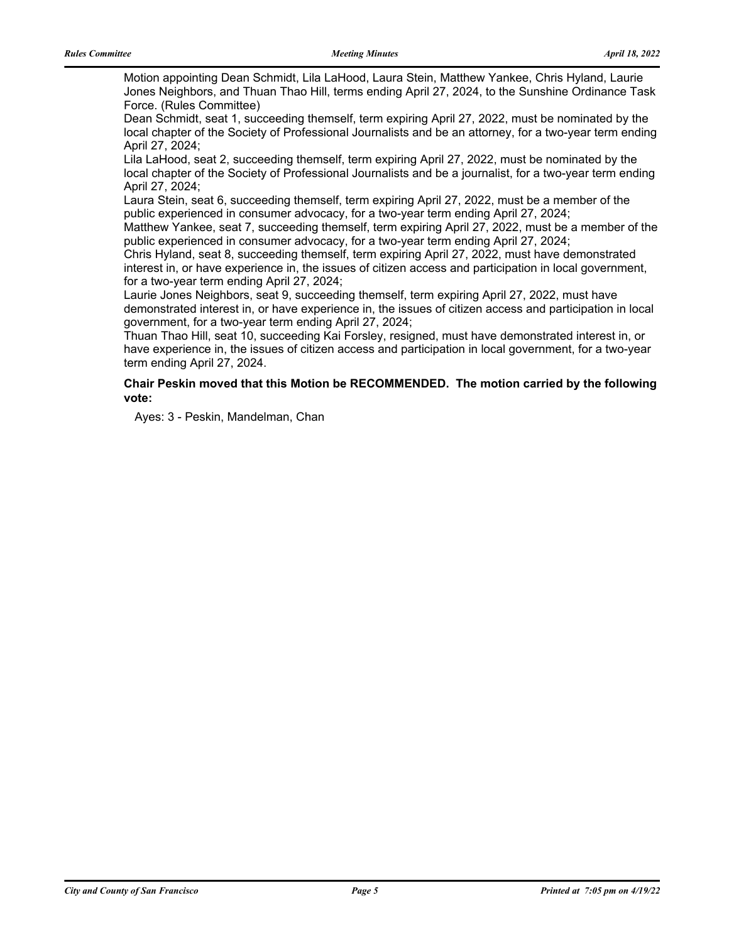Motion appointing Dean Schmidt, Lila LaHood, Laura Stein, Matthew Yankee, Chris Hyland, Laurie Jones Neighbors, and Thuan Thao Hill, terms ending April 27, 2024, to the Sunshine Ordinance Task Force. (Rules Committee)

Dean Schmidt, seat 1, succeeding themself, term expiring April 27, 2022, must be nominated by the local chapter of the Society of Professional Journalists and be an attorney, for a two-year term ending April 27, 2024;

Lila LaHood, seat 2, succeeding themself, term expiring April 27, 2022, must be nominated by the local chapter of the Society of Professional Journalists and be a journalist, for a two-year term ending April 27, 2024;

Laura Stein, seat 6, succeeding themself, term expiring April 27, 2022, must be a member of the public experienced in consumer advocacy, for a two-year term ending April 27, 2024;

Matthew Yankee, seat 7, succeeding themself, term expiring April 27, 2022, must be a member of the public experienced in consumer advocacy, for a two-year term ending April 27, 2024;

Chris Hyland, seat 8, succeeding themself, term expiring April 27, 2022, must have demonstrated interest in, or have experience in, the issues of citizen access and participation in local government, for a two-year term ending April 27, 2024;

Laurie Jones Neighbors, seat 9, succeeding themself, term expiring April 27, 2022, must have demonstrated interest in, or have experience in, the issues of citizen access and participation in local government, for a two-year term ending April 27, 2024;

Thuan Thao Hill, seat 10, succeeding Kai Forsley, resigned, must have demonstrated interest in, or have experience in, the issues of citizen access and participation in local government, for a two-year term ending April 27, 2024.

### **Chair Peskin moved that this Motion be RECOMMENDED. The motion carried by the following vote:**

Ayes: 3 - Peskin, Mandelman, Chan